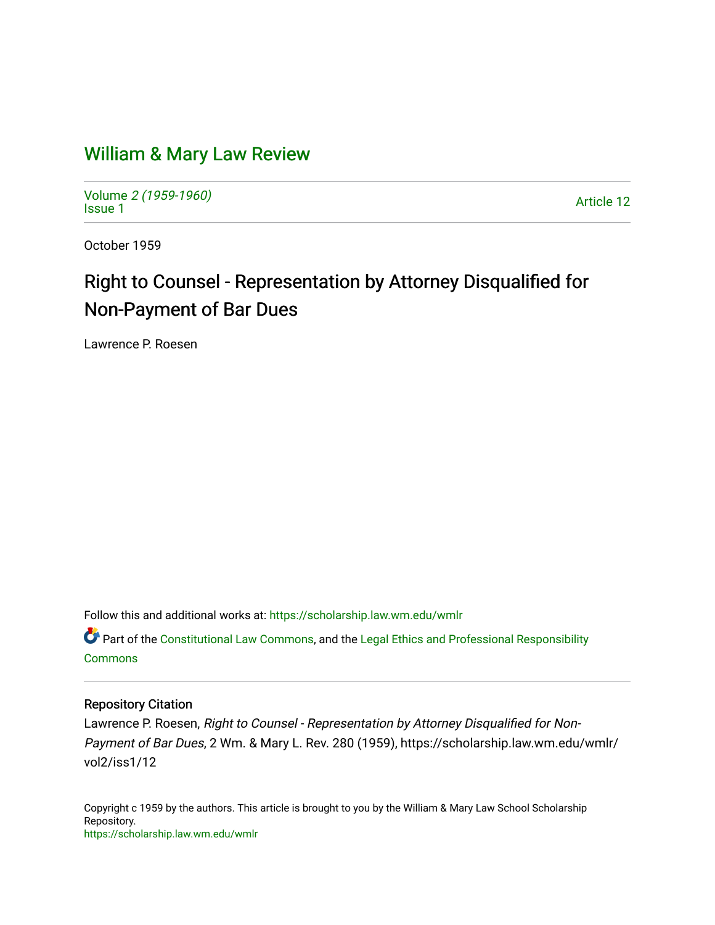## [William & Mary Law Review](https://scholarship.law.wm.edu/wmlr)

Volume [2 \(1959-1960\)](https://scholarship.law.wm.edu/wmlr/vol2)  Notative 2 (1909-1900)<br>[Issue 1](https://scholarship.law.wm.edu/wmlr/vol2/iss1) Article 12

October 1959

# Right to Counsel - Representation by Attorney Disqualified for Non-Payment of Bar Dues

Lawrence P. Roesen

Follow this and additional works at: [https://scholarship.law.wm.edu/wmlr](https://scholarship.law.wm.edu/wmlr?utm_source=scholarship.law.wm.edu%2Fwmlr%2Fvol2%2Fiss1%2F12&utm_medium=PDF&utm_campaign=PDFCoverPages)

Part of the [Constitutional Law Commons,](http://network.bepress.com/hgg/discipline/589?utm_source=scholarship.law.wm.edu%2Fwmlr%2Fvol2%2Fiss1%2F12&utm_medium=PDF&utm_campaign=PDFCoverPages) and the [Legal Ethics and Professional Responsibility](http://network.bepress.com/hgg/discipline/895?utm_source=scholarship.law.wm.edu%2Fwmlr%2Fvol2%2Fiss1%2F12&utm_medium=PDF&utm_campaign=PDFCoverPages) [Commons](http://network.bepress.com/hgg/discipline/895?utm_source=scholarship.law.wm.edu%2Fwmlr%2Fvol2%2Fiss1%2F12&utm_medium=PDF&utm_campaign=PDFCoverPages)

#### Repository Citation

Lawrence P. Roesen, Right to Counsel - Representation by Attorney Disqualified for Non-Payment of Bar Dues, 2 Wm. & Mary L. Rev. 280 (1959), https://scholarship.law.wm.edu/wmlr/ vol2/iss1/12

Copyright c 1959 by the authors. This article is brought to you by the William & Mary Law School Scholarship Repository. <https://scholarship.law.wm.edu/wmlr>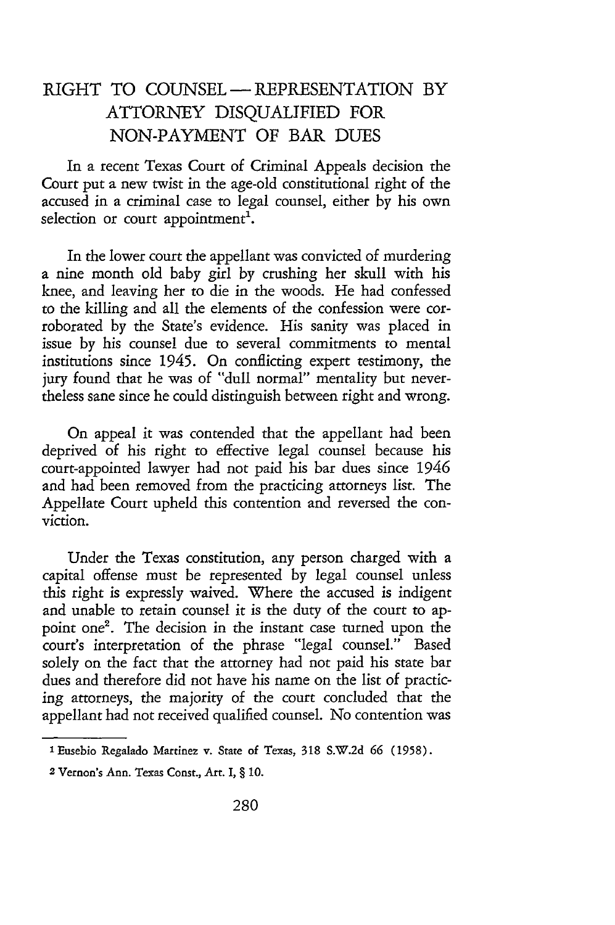### RIGHT TO COUNSEL **-** REPRESENTATION BY ATTORNEY DISQUALIFIED FOR NON-PAYMENT OF BAR DUES

In a recent Texas Court of Criminal Appeals decision the Court put a new twist in the age-old constitutional right of the accused in a criminal case to legal counsel, either by his own selection or court appointment<sup>1</sup>.

In the lower court the appellant was convicted of murdering a nine month old baby girl by crushing her skull with his knee, and leaving her to die in the woods. He had confessed to the killing and all the elements of the confession were corroborated by the State's evidence. His sanity was placed in issue by his counsel due to several commitments to mental institutions since 1945. On conflicting expert testimony, the jury found that he was of "dull normal" mentality but nevertheless sane since he could distinguish between right and wrong.

On appeal it was contended that the appellant had been deprived of his right to effective legal counsel because his court-appointed lawyer had not paid his bar dues since 1946 and had been removed from the practicing attorneys list. The Appellate Court upheld this contention and reversed the conviction.

Under the Texas constitution, any person charged with a capital offense must be represented by legal counsel unless this right is expressly waived. Where the accused is indigent and unable to retain counsel it is the duty of the court to appoint one2. The decision in the instant case turned upon the court's interpretation of the phrase "legal counsel." Based solely on the fact that the attorney had not paid his state bar dues and therefore did not have his name on the list of practicing attorneys, the majority of the court concluded that the appellant had not received qualified counsel. No contention was

**<sup>1</sup>** Eusebio Regalado Martinez v. State of Texas, 318 S.W.2d **66** (1958).

**<sup>2</sup>** Vernon's Ann. Texas Const., Art. I, § 10.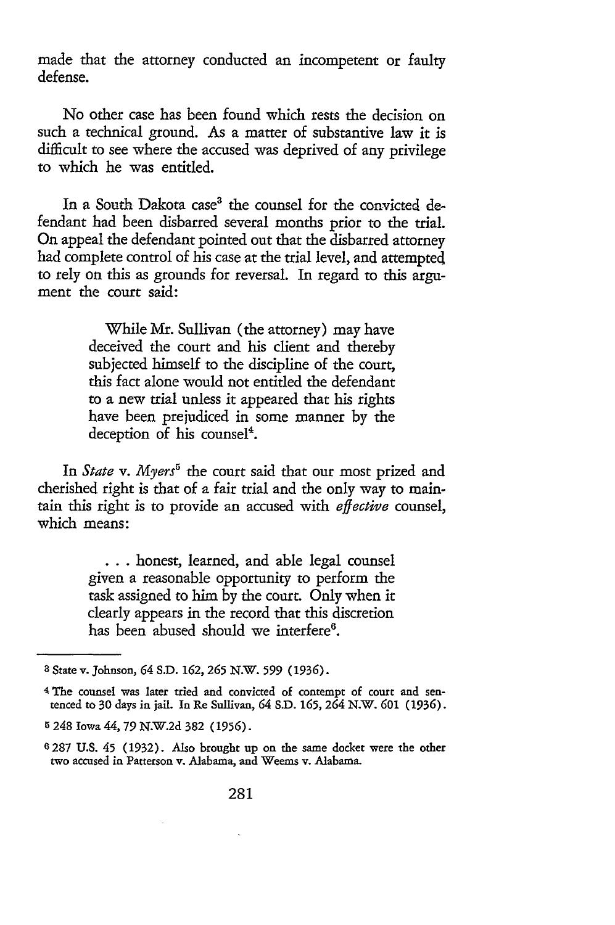made that the attorney conducted an incompetent or faulty defense.

No other case has been found which rests the decision on such a technical ground. As a matter of substantive law it is difficult to see where the accused was deprived of any privilege to which he was entitled.

In a South Dakota case<sup>3</sup> the counsel for the convicted defendant had been disbarred several months prior to the trial. On appeal the defendant pointed out that the disbarred attorney had complete control of his case at the trial level, and attempted to rely on this as grounds for reversal. In regard to this argument the court said:

> While Mr. Sullivan (the attorney) may have deceived the court and his client and thereby subjected himself to the discipline of the court, this fact alone would not entitled the defendant to a new trial unless it appeared that his rights have been prejudiced in some manner by the deception of his counsel'.

In *State* v. Myers<sup>5</sup> the court said that our most prized and cherished right is that of a fair trial and the only way to maintain this right is to provide an accused with *effective* counsel, which means:

> **...** honest, learned, and able legal counsel given a reasonable opportunity to perform the task assigned to him by the court. Only when it clearly appears in the record that this discretion has been abused should we interfere<sup>6</sup>.

**<sup>3</sup>**State v. Johnson, 64 S.D. 162, **265** N.W. **599** (1936).

<sup>4</sup> The counsel was later tried and convicted of contempt of court and sentenced to 30 days in jail. In Re Sullivan, 64 S.D. **165,** 264 N.W. *601* **(1936).**

**<sup>5</sup>** 248 Iowa 44, 79 N.W.2d 382 **(1956).**

<sup>6287</sup> **U.S.** 45 (1932). Also brought up on the same docket were the other two accused in Patterson v. Alabama, and Weems v. Alabama.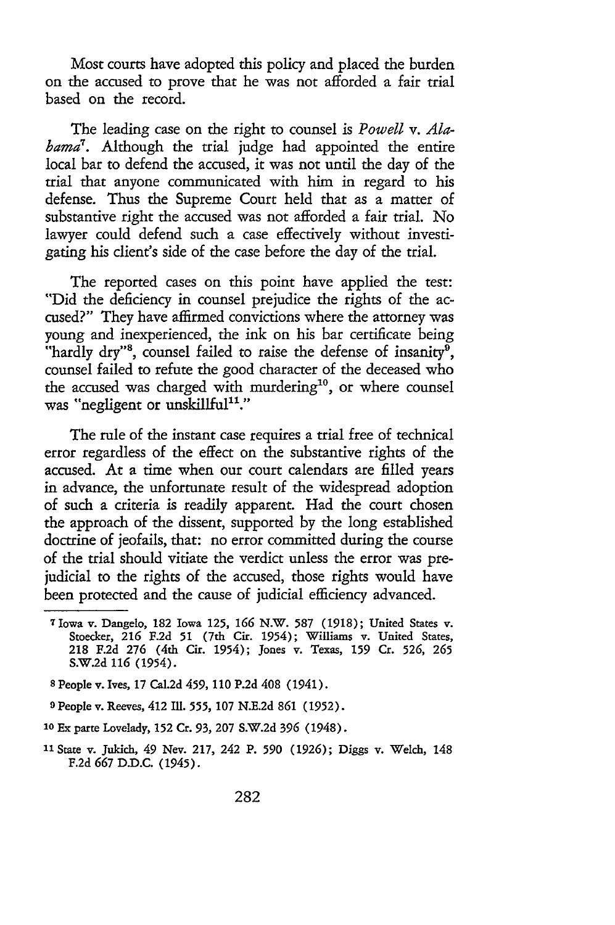Most courts have adopted this policy and placed the burden on the accused to prove that he was not afforded a fair trial based on the record.

The leading case on the right to counsel is *Powell v. Alabama7.* Although the trial judge had appointed the entire local bar to defend the accused, it was not until the day of the trial that anyone communicated with him in regard to his defense. Thus the Supreme Court held that as a matter of substantive right the accused was not afforded a fair trial. No lawyer could defend such a case effectively without investigating his client's side of the case before the day of the trial.

The reported cases on this point have applied the test: "Did the deficiency in counsel prejudice the rights of the accused?" They have affirmed convictions where the attorney was young and inexperienced, the ink on his bar certificate being "hardly dry"<sup>8</sup>, counsel failed to raise the defense of insanity<sup>9</sup>, counsel failed to refute the good character of the deceased who the accused was charged with murdering<sup>10</sup>, or where counsel was "negligent or unskillful<sup>11</sup>."

The rule of the instant case requires a trial free of technical error regardless of the effect on the substantive rights of the accused. At a time when our court calendars are filled years in advance, the unfortunate result of the widespread adoption of such a criteria is readily apparent. Had the court chosen the approach of the dissent, supported by the long established doctrine of jeofails, that: no error committed during the course of the trial should vitiate the verdict unless the error was prejudicial to the rights of the accused, those rights would have been protected and the cause of judicial efficiency advanced.

**<sup>7</sup>**Iowa v. Dangelo, 182 Iowa **125, 166** N.W. **587** (1918); United States v. Stoecker, **216** F.2d **51** (7th Cir. 1954); Williams v. United States, 218 F.2d **276** (4th Cir. 1954); Jones v. Texas, **159** Cr. **526, 265** S.W.2d **116** (1954).

**<sup>8</sup>** People v. Ives, 17 Cal.2d 459, **110** P.2d 408 (1941).

**<sup>9</sup>**People v. Reeves, 412 Ill. **555, 107** N.E.2d **861** (1952).

**<sup>10</sup>** Ex parte Lovelady, **152** Cr. **93, 207** S.W.2d **396** (1948).

**<sup>&</sup>quot;1** State v. Jukich, 49 Nev. 217, 242 P. **590** (1926); Diggs v. Welch, 148 F.2d **667** D.D.C. (1945).